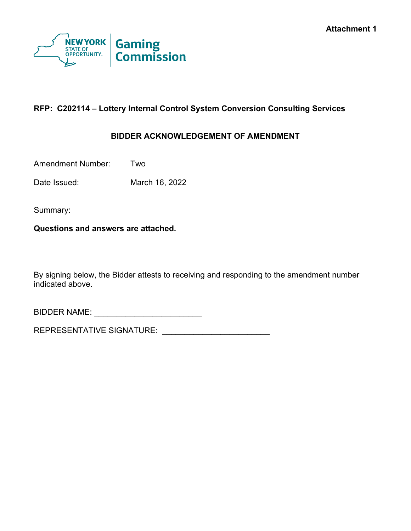

# **RFP: C202114 – Lottery Internal Control System Conversion Consulting Services**

## **BIDDER ACKNOWLEDGEMENT OF AMENDMENT**

Amendment Number: Two

Date Issued: March 16, 2022

Summary:

**Questions and answers are attached.**

By signing below, the Bidder attests to receiving and responding to the amendment number indicated above.

BIDDER NAME: \_\_\_\_\_\_\_\_\_\_\_\_\_\_\_\_\_\_\_\_\_\_\_\_

REPRESENTATIVE SIGNATURE: \_\_\_\_\_\_\_\_\_\_\_\_\_\_\_\_\_\_\_\_\_\_\_\_